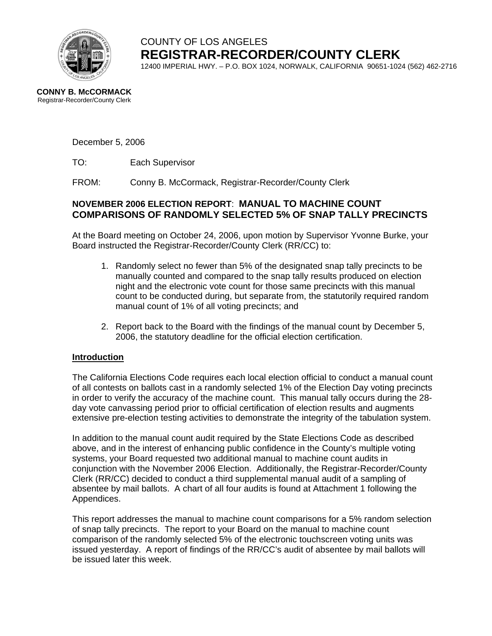

# COUNTY OF LOS ANGELES **REGISTRAR-RECORDER/COUNTY CLERK**

12400 IMPERIAL HWY. – P.O. BOX 1024, NORWALK, CALIFORNIA 90651-1024 (562) 462-2716

#### **CONNY B. McCORMACK** Registrar-Recorder/County Clerk

December 5, 2006

TO: Each Supervisor

FROM:Conny B. McCormack, Registrar-Recorder/County Clerk

### **NOVEMBER 2006 ELECTION REPORT**: **MANUAL TO MACHINE COUNT COMPARISONS OF RANDOMLY SELECTED 5% OF SNAP TALLY PRECINCTS**

At the Board meeting on October 24, 2006, upon motion by Supervisor Yvonne Burke, your Board instructed the Registrar-Recorder/County Clerk (RR/CC) to:

- 1. Randomly select no fewer than 5% of the designated snap tally precincts to be manually counted and compared to the snap tally results produced on election night and the electronic vote count for those same precincts with this manual count to be conducted during, but separate from, the statutorily required random manual count of 1% of all voting precincts; and
- 2. Report back to the Board with the findings of the manual count by December 5, 2006, the statutory deadline for the official election certification.

### **Introduction**

The California Elections Code requires each local election official to conduct a manual count of all contests on ballots cast in a randomly selected 1% of the Election Day voting precincts in order to verify the accuracy of the machine count. This manual tally occurs during the 28 day vote canvassing period prior to official certification of election results and augments extensive pre-election testing activities to demonstrate the integrity of the tabulation system.

In addition to the manual count audit required by the State Elections Code as described above, and in the interest of enhancing public confidence in the County's multiple voting systems, your Board requested two additional manual to machine count audits in conjunction with the November 2006 Election. Additionally, the Registrar-Recorder/County Clerk (RR/CC) decided to conduct a third supplemental manual audit of a sampling of absentee by mail ballots. A chart of all four audits is found at Attachment 1 following the Appendices.

This report addresses the manual to machine count comparisons for a 5% random selection of snap tally precincts. The report to your Board on the manual to machine count comparison of the randomly selected 5% of the electronic touchscreen voting units was issued yesterday. A report of findings of the RR/CC's audit of absentee by mail ballots will be issued later this week.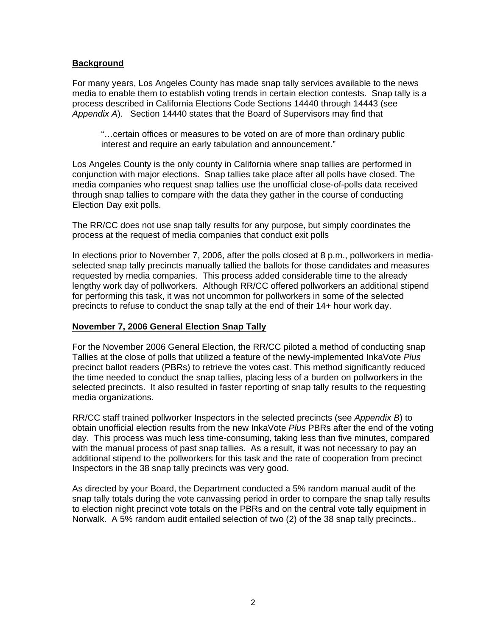### **Background**

For many years, Los Angeles County has made snap tally services available to the news media to enable them to establish voting trends in certain election contests. Snap tally is a process described in California Elections Code Sections 14440 through 14443 (see *Appendix A*). Section 14440 states that the Board of Supervisors may find that

"…certain offices or measures to be voted on are of more than ordinary public interest and require an early tabulation and announcement."

Los Angeles County is the only county in California where snap tallies are performed in conjunction with major elections. Snap tallies take place after all polls have closed. The media companies who request snap tallies use the unofficial close-of-polls data received through snap tallies to compare with the data they gather in the course of conducting Election Day exit polls.

The RR/CC does not use snap tally results for any purpose, but simply coordinates the process at the request of media companies that conduct exit polls

In elections prior to November 7, 2006, after the polls closed at 8 p.m., pollworkers in mediaselected snap tally precincts manually tallied the ballots for those candidates and measures requested by media companies. This process added considerable time to the already lengthy work day of pollworkers. Although RR/CC offered pollworkers an additional stipend for performing this task, it was not uncommon for pollworkers in some of the selected precincts to refuse to conduct the snap tally at the end of their 14+ hour work day.

#### **November 7, 2006 General Election Snap Tally**

For the November 2006 General Election, the RR/CC piloted a method of conducting snap Tallies at the close of polls that utilized a feature of the newly-implemented InkaVote *Plus* precinct ballot readers (PBRs) to retrieve the votes cast. This method significantly reduced the time needed to conduct the snap tallies, placing less of a burden on pollworkers in the selected precincts. It also resulted in faster reporting of snap tally results to the requesting media organizations.

RR/CC staff trained pollworker Inspectors in the selected precincts (see *Appendix B*) to obtain unofficial election results from the new InkaVote *Plus* PBRs after the end of the voting day. This process was much less time-consuming, taking less than five minutes, compared with the manual process of past snap tallies. As a result, it was not necessary to pay an additional stipend to the pollworkers for this task and the rate of cooperation from precinct Inspectors in the 38 snap tally precincts was very good.

As directed by your Board, the Department conducted a 5% random manual audit of the snap tally totals during the vote canvassing period in order to compare the snap tally results to election night precinct vote totals on the PBRs and on the central vote tally equipment in Norwalk. A 5% random audit entailed selection of two (2) of the 38 snap tally precincts..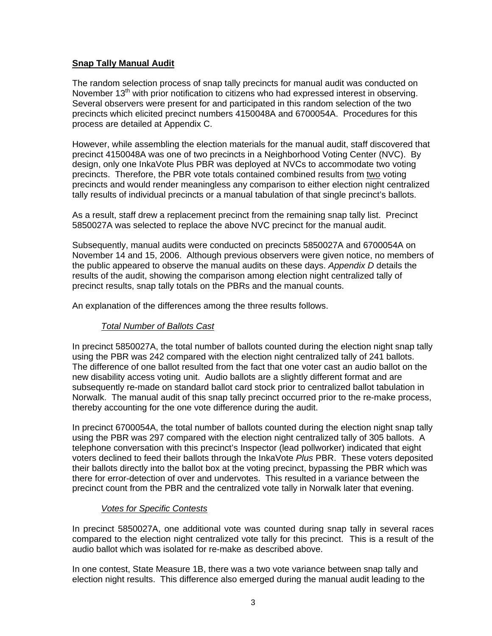### **Snap Tally Manual Audit**

The random selection process of snap tally precincts for manual audit was conducted on November 13<sup>th</sup> with prior notification to citizens who had expressed interest in observing. Several observers were present for and participated in this random selection of the two precincts which elicited precinct numbers 4150048A and 6700054A. Procedures for this process are detailed at Appendix C.

However, while assembling the election materials for the manual audit, staff discovered that precinct 4150048A was one of two precincts in a Neighborhood Voting Center (NVC). By design, only one InkaVote Plus PBR was deployed at NVCs to accommodate two voting precincts. Therefore, the PBR vote totals contained combined results from two voting precincts and would render meaningless any comparison to either election night centralized tally results of individual precincts or a manual tabulation of that single precinct's ballots.

As a result, staff drew a replacement precinct from the remaining snap tally list. Precinct 5850027A was selected to replace the above NVC precinct for the manual audit.

Subsequently, manual audits were conducted on precincts 5850027A and 6700054A on November 14 and 15, 2006. Although previous observers were given notice, no members of the public appeared to observe the manual audits on these days. *Appendix D* details the results of the audit, showing the comparison among election night centralized tally of precinct results, snap tally totals on the PBRs and the manual counts.

An explanation of the differences among the three results follows.

### *Total Number of Ballots Cast*

In precinct 5850027A, the total number of ballots counted during the election night snap tally using the PBR was 242 compared with the election night centralized tally of 241 ballots. The difference of one ballot resulted from the fact that one voter cast an audio ballot on the new disability access voting unit. Audio ballots are a slightly different format and are subsequently re-made on standard ballot card stock prior to centralized ballot tabulation in Norwalk. The manual audit of this snap tally precinct occurred prior to the re-make process, thereby accounting for the one vote difference during the audit.

In precinct 6700054A, the total number of ballots counted during the election night snap tally using the PBR was 297 compared with the election night centralized tally of 305 ballots. A telephone conversation with this precinct's Inspector (lead pollworker) indicated that eight voters declined to feed their ballots through the InkaVote *Plus* PBR. These voters deposited their ballots directly into the ballot box at the voting precinct, bypassing the PBR which was there for error-detection of over and undervotes. This resulted in a variance between the precinct count from the PBR and the centralized vote tally in Norwalk later that evening.

### *Votes for Specific Contests*

In precinct 5850027A, one additional vote was counted during snap tally in several races compared to the election night centralized vote tally for this precinct. This is a result of the audio ballot which was isolated for re-make as described above.

In one contest, State Measure 1B, there was a two vote variance between snap tally and election night results. This difference also emerged during the manual audit leading to the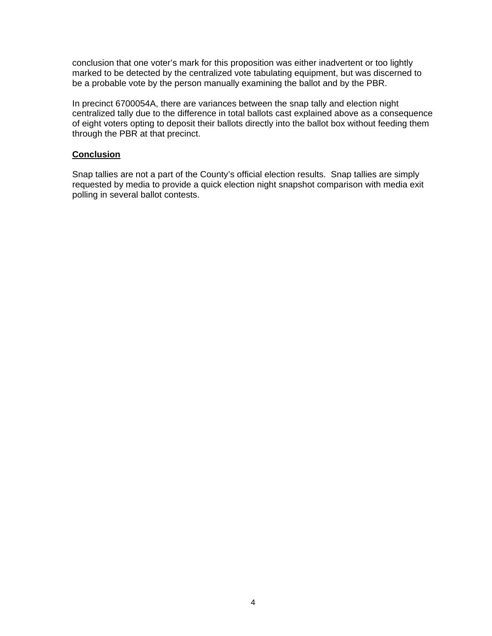conclusion that one voter's mark for this proposition was either inadvertent or too lightly marked to be detected by the centralized vote tabulating equipment, but was discerned to be a probable vote by the person manually examining the ballot and by the PBR.

In precinct 6700054A, there are variances between the snap tally and election night centralized tally due to the difference in total ballots cast explained above as a consequence of eight voters opting to deposit their ballots directly into the ballot box without feeding them through the PBR at that precinct.

#### **Conclusion**

Snap tallies are not a part of the County's official election results. Snap tallies are simply requested by media to provide a quick election night snapshot comparison with media exit polling in several ballot contests.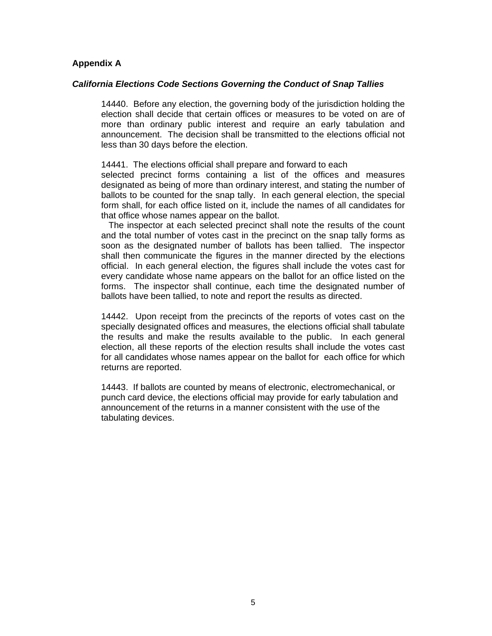#### **Appendix A**

#### *California Elections Code Sections Governing the Conduct of Snap Tallies*

14440. Before any election, the governing body of the jurisdiction holding the election shall decide that certain offices or measures to be voted on are of more than ordinary public interest and require an early tabulation and announcement. The decision shall be transmitted to the elections official not less than 30 days before the election.

14441. The elections official shall prepare and forward to each

selected precinct forms containing a list of the offices and measures designated as being of more than ordinary interest, and stating the number of ballots to be counted for the snap tally. In each general election, the special form shall, for each office listed on it, include the names of all candidates for that office whose names appear on the ballot.

 The inspector at each selected precinct shall note the results of the count and the total number of votes cast in the precinct on the snap tally forms as soon as the designated number of ballots has been tallied. The inspector shall then communicate the figures in the manner directed by the elections official. In each general election, the figures shall include the votes cast for every candidate whose name appears on the ballot for an office listed on the forms. The inspector shall continue, each time the designated number of ballots have been tallied, to note and report the results as directed.

14442. Upon receipt from the precincts of the reports of votes cast on the specially designated offices and measures, the elections official shall tabulate the results and make the results available to the public. In each general election, all these reports of the election results shall include the votes cast for all candidates whose names appear on the ballot for each office for which returns are reported.

14443. If ballots are counted by means of electronic, electromechanical, or punch card device, the elections official may provide for early tabulation and announcement of the returns in a manner consistent with the use of the tabulating devices.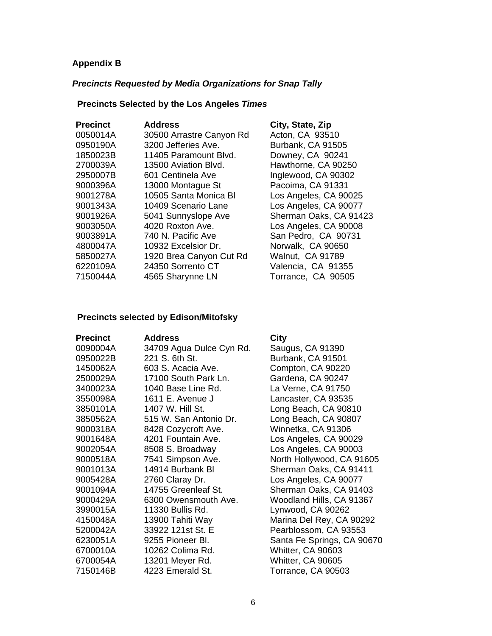### **Appendix B**

### *Precincts Requested by Media Organizations for Snap Tally*

## **Precincts Selected by the Los Angeles** *Times*

| <b>Precinct</b> | <b>Address</b>           | City, State, Zip        |
|-----------------|--------------------------|-------------------------|
| 0050014A        | 30500 Arrastre Canyon Rd | Acton, CA 93510         |
| 0950190A        | 3200 Jefferies Ave.      | Burbank, CA 91505       |
| 1850023B        | 11405 Paramount Blvd.    | Downey, CA 90241        |
| 2700039A        | 13500 Aviation Blvd.     | Hawthorne, CA 90250     |
| 2950007B        | 601 Centinela Ave        | Inglewood, CA 90302     |
| 9000396A        | 13000 Montague St        | Pacoima, CA 91331       |
| 9001278A        | 10505 Santa Monica BI    | Los Angeles, CA 90025   |
| 9001343A        | 10409 Scenario Lane      | Los Angeles, CA 90077   |
| 9001926A        | 5041 Sunnyslope Ave      | Sherman Oaks, CA 91423  |
| 9003050A        | 4020 Roxton Ave.         | Los Angeles, CA 90008   |
| 9003891A        | 740 N. Pacific Ave       | San Pedro, CA 90731     |
| 4800047A        | 10932 Excelsior Dr.      | Norwalk, CA 90650       |
| 5850027A        | 1920 Brea Canyon Cut Rd  | <b>Walnut, CA 91789</b> |
| 6220109A        | 24350 Sorrento CT        | Valencia, CA 91355      |
| 7150044A        | 4565 Sharynne LN         | Torrance, CA 90505      |

### **Precincts selected by Edison/Mitofsky**

| <b>Precinct</b> | <b>Address</b>           | City                       |
|-----------------|--------------------------|----------------------------|
| 0090004A        | 34709 Agua Dulce Cyn Rd. | Saugus, CA 91390           |
| 0950022B        | 221 S. 6th St.           | Burbank, CA 91501          |
| 1450062A        | 603 S. Acacia Ave.       | Compton, CA 90220          |
| 2500029A        | 17100 South Park Ln.     | Gardena, CA 90247          |
| 3400023A        | 1040 Base Line Rd.       | La Verne, CA 91750         |
| 3550098A        | 1611 E. Avenue J         | Lancaster, CA 93535        |
| 3850101A        | 1407 W. Hill St.         | Long Beach, CA 90810       |
| 3850562A        | 515 W. San Antonio Dr.   | Long Beach, CA 90807       |
| 9000318A        | 8428 Cozycroft Ave.      | Winnetka, CA 91306         |
| 9001648A        | 4201 Fountain Ave.       | Los Angeles, CA 90029      |
| 9002054A        | 8508 S. Broadway         | Los Angeles, CA 90003      |
| 9000518A        | 7541 Simpson Ave.        | North Hollywood, CA 91605  |
| 9001013A        | 14914 Burbank BI         | Sherman Oaks, CA 91411     |
| 9005428A        | 2760 Claray Dr.          | Los Angeles, CA 90077      |
| 9001094A        | 14755 Greenleaf St.      | Sherman Oaks, CA 91403     |
| 9000429A        | 6300 Owensmouth Ave.     | Woodland Hills, CA 91367   |
| 3990015A        | 11330 Bullis Rd.         | Lynwood, CA 90262          |
| 4150048A        | 13900 Tahiti Way         | Marina Del Rey, CA 90292   |
| 5200042A        | 33922 121st St. E        | Pearblossom, CA 93553      |
| 6230051A        | 9255 Pioneer Bl.         | Santa Fe Springs, CA 90670 |
| 6700010A        | 10262 Colima Rd.         | Whitter, CA 90603          |
| 6700054A        | 13201 Meyer Rd.          | Whitter, CA 90605          |
| 7150146B        | 4223 Emerald St.         | Torrance, CA 90503         |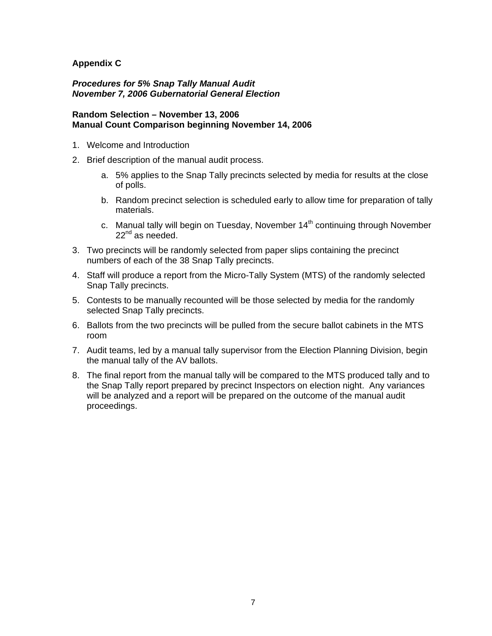### **Appendix C**

#### *Procedures for 5% Snap Tally Manual Audit November 7, 2006 Gubernatorial General Election*

#### **Random Selection – November 13, 2006 Manual Count Comparison beginning November 14, 2006**

- 1. Welcome and Introduction
- 2. Brief description of the manual audit process.
	- a. 5% applies to the Snap Tally precincts selected by media for results at the close of polls.
	- b. Random precinct selection is scheduled early to allow time for preparation of tally materials.
	- c. Manual tally will begin on Tuesday, November 14<sup>th</sup> continuing through November  $22^{nd}$  as needed.
- 3. Two precincts will be randomly selected from paper slips containing the precinct numbers of each of the 38 Snap Tally precincts.
- 4. Staff will produce a report from the Micro-Tally System (MTS) of the randomly selected Snap Tally precincts.
- 5. Contests to be manually recounted will be those selected by media for the randomly selected Snap Tally precincts.
- 6. Ballots from the two precincts will be pulled from the secure ballot cabinets in the MTS room
- 7. Audit teams, led by a manual tally supervisor from the Election Planning Division, begin the manual tally of the AV ballots.
- 8. The final report from the manual tally will be compared to the MTS produced tally and to the Snap Tally report prepared by precinct Inspectors on election night. Any variances will be analyzed and a report will be prepared on the outcome of the manual audit proceedings.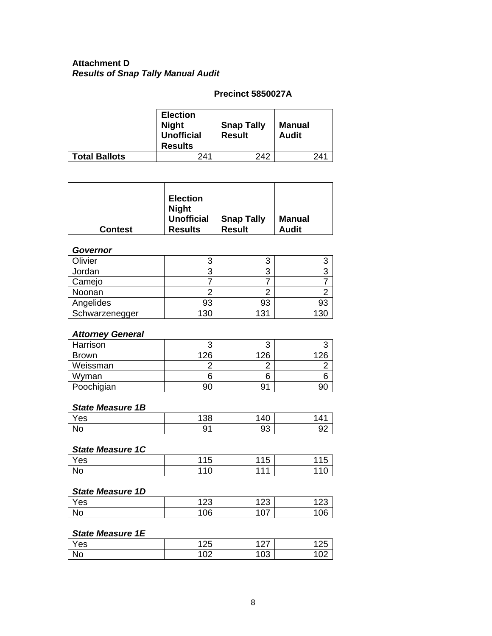### **Attachment D**  *Results of Snap Tally Manual Audit*

### **Precinct 5850027A**

|                      | <b>Election</b><br><b>Night</b><br><b>Unofficial</b><br><b>Results</b> | <b>Snap Tally</b><br><b>Result</b> | <b>Manual</b><br><b>Audit</b> |
|----------------------|------------------------------------------------------------------------|------------------------------------|-------------------------------|
| <b>Total Ballots</b> | 241                                                                    | 242                                | 241                           |

| <b>Election</b><br><b>Night</b><br><b>Unofficial</b><br><b>Contest</b><br><b>Results</b> | <b>Snap Tally</b><br><b>Result</b> | <b>Manual</b><br><b>Audit</b> |
|------------------------------------------------------------------------------------------|------------------------------------|-------------------------------|
|------------------------------------------------------------------------------------------|------------------------------------|-------------------------------|

### *Governor*

| Olivier        | າ<br>ں | o   |     |
|----------------|--------|-----|-----|
| Jordan         | 3      |     |     |
| Camejo         |        |     |     |
| Noonan         |        |     |     |
| Angelides      | 93     | 93  | 93  |
| Schwarzenegger | 130    | 131 | 130 |

#### *Attorney General*

| Harrison     |     |     |     |
|--------------|-----|-----|-----|
| <b>Brown</b> | 126 | 126 | 126 |
| Weissman     |     |     |     |
| Wyman        |     | b   |     |
| Poochigian   |     |     |     |

### *State Measure 1B*

| Yes | م م<br>ັບ | $\Lambda$<br>40 |   |
|-----|-----------|-----------------|---|
| No  |           | ົ<br>ສວ         | — |

### *State Measure 1C*

| Yes | <b>115</b> | 115 | 44 E |
|-----|------------|-----|------|
|     | ט ו        | ں ا | ل ا  |
| No  | 110<br>v   | 444 | ັບ   |

#### *State Measure 1D*

| $\mathbf{v}$ | م م | ممد          |    |
|--------------|-----|--------------|----|
| 'es          | ∠J  | ں ے .        |    |
| No           | 06' | $\sim$<br>v. | 06 |

### *State Measure 1E*

| Yes | 1つに<br>. د∠.  | $\sim$     | $\overline{a}$<br>້ |
|-----|---------------|------------|---------------------|
| No  | 100<br>$\sim$ | າ ∩ິ<br>υJ | 10 <sup>2</sup>     |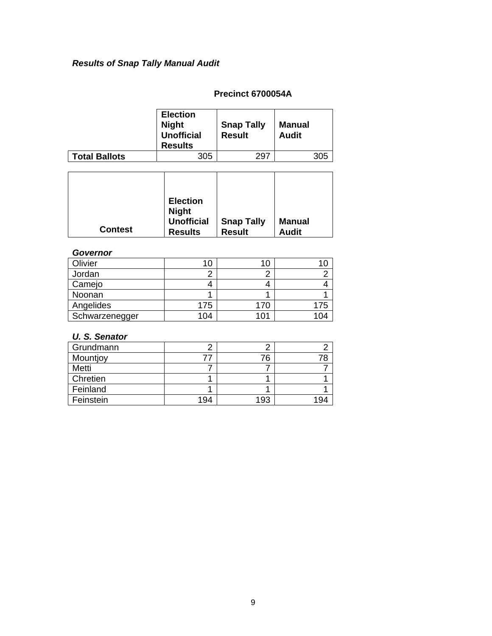## *Results of Snap Tally Manual Audit*

### **Precinct 6700054A**

|                      | <b>Election</b><br><b>Night</b><br><b>Unofficial</b><br><b>Results</b> | <b>Snap Tally</b><br><b>Result</b> | Manual<br><b>Audit</b> |
|----------------------|------------------------------------------------------------------------|------------------------------------|------------------------|
| <b>Total Ballots</b> | 305                                                                    | 297                                | 305                    |

| <b>Contest</b> | <b>Election</b><br><b>Night</b><br><b>Unofficial</b><br><b>Results</b> | <b>Snap Tally</b><br><b>Result</b> | Manual<br><b>Audit</b> |
|----------------|------------------------------------------------------------------------|------------------------------------|------------------------|

### *Governor*

| Olivier        |     |     |     |
|----------------|-----|-----|-----|
| Jordan         |     |     |     |
| Camejo         |     |     |     |
| Noonan         |     |     |     |
| Angelides      | 175 | 170 | 175 |
| Schwarzenegger | 104 | 101 | 104 |

### *U. S. Senator*

| Grundmann |     |     |     |
|-----------|-----|-----|-----|
| Mountjoy  |     | 76  | 78  |
| Metti     |     |     |     |
| Chretien  |     |     |     |
| Feinland  |     |     |     |
| Feinstein | 194 | 193 | 194 |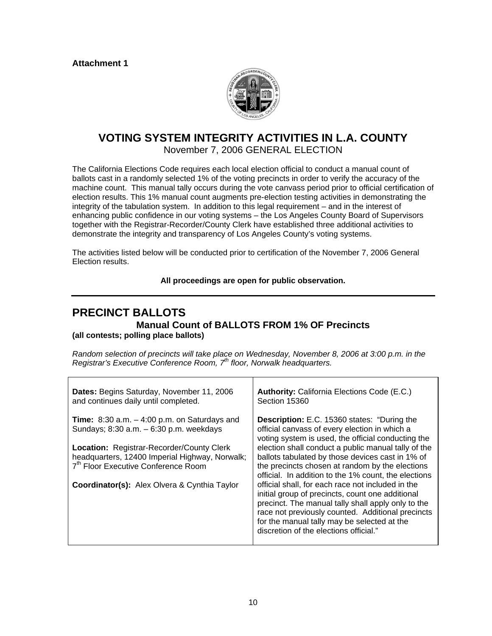

### **VOTING SYSTEM INTEGRITY ACTIVITIES IN L.A. COUNTY**  November 7, 2006 GENERAL ELECTION

The California Elections Code requires each local election official to conduct a manual count of ballots cast in a randomly selected 1% of the voting precincts in order to verify the accuracy of the machine count. This manual tally occurs during the vote canvass period prior to official certification of election results. This 1% manual count augments pre-election testing activities in demonstrating the integrity of the tabulation system. In addition to this legal requirement – and in the interest of enhancing public confidence in our voting systems – the Los Angeles County Board of Supervisors together with the Registrar-Recorder/County Clerk have established three additional activities to demonstrate the integrity and transparency of Los Angeles County's voting systems.

The activities listed below will be conducted prior to certification of the November 7, 2006 General Election results.

#### **All proceedings are open for public observation.**

## **PRECINCT BALLOTS**

**Manual Count of BALLOTS FROM 1% OF Precincts (all contests; polling place ballots)** 

*Random selection of precincts will take place on Wednesday, November 8, 2006 at 3:00 p.m. in the Registrar's Executive Conference Room, 7th floor, Norwalk headquarters.* 

| <b>Dates:</b> Begins Saturday, November 11, 2006<br>and continues daily until completed.<br>Section 15360                                                                                                                                                                                                 | <b>Authority: California Elections Code (E.C.)</b>                                                                                                                                                                                                                                                                                                                                                                                                                                                                                                                                                                                                                                           |
|-----------------------------------------------------------------------------------------------------------------------------------------------------------------------------------------------------------------------------------------------------------------------------------------------------------|----------------------------------------------------------------------------------------------------------------------------------------------------------------------------------------------------------------------------------------------------------------------------------------------------------------------------------------------------------------------------------------------------------------------------------------------------------------------------------------------------------------------------------------------------------------------------------------------------------------------------------------------------------------------------------------------|
| <b>Time:</b> 8:30 a.m. $-$ 4:00 p.m. on Saturdays and<br>Sundays; 8:30 a.m. - 6:30 p.m. weekdays<br><b>Location: Registrar-Recorder/County Clerk</b><br>headquarters, 12400 Imperial Highway, Norwalk;<br>7 <sup>th</sup> Floor Executive Conference Room<br>Coordinator(s): Alex Olvera & Cynthia Taylor | <b>Description:</b> E.C. 15360 states: "During the<br>official canvass of every election in which a<br>voting system is used, the official conducting the<br>election shall conduct a public manual tally of the<br>ballots tabulated by those devices cast in 1% of<br>the precincts chosen at random by the elections<br>official. In addition to the 1% count, the elections<br>official shall, for each race not included in the<br>initial group of precincts, count one additional<br>precinct. The manual tally shall apply only to the<br>race not previously counted. Additional precincts<br>for the manual tally may be selected at the<br>discretion of the elections official." |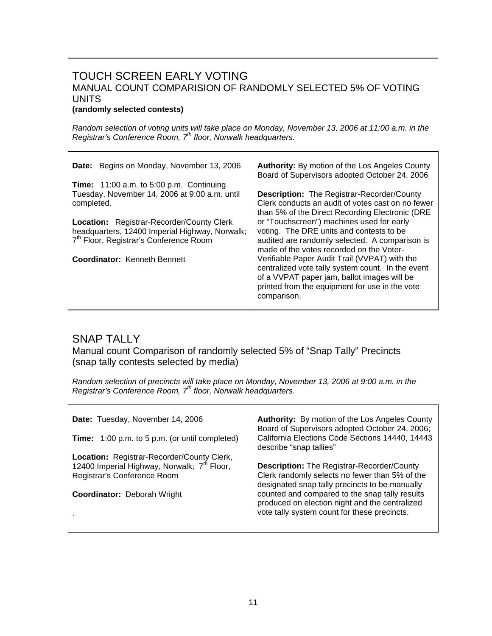## TOUCH SCREEN EARLY VOTING MANUAL COUNT COMPARISION OF RANDOMLY SELECTED 5% OF VOTING UNITS

#### **(randomly selected contests)**

*Random selection of voting units will take place on Monday, November 13, 2006 at 11:00 a.m. in the Registrar's Conference Room, 7th floor, Norwalk headquarters.* 

| Date: Begins on Monday, November 13, 2006                                                                                                                | <b>Authority:</b> By motion of the Los Angeles County<br>Board of Supervisors adopted October 24, 2006                                                                                                             |
|----------------------------------------------------------------------------------------------------------------------------------------------------------|--------------------------------------------------------------------------------------------------------------------------------------------------------------------------------------------------------------------|
| <b>Time:</b> $11:00$ a.m. to $5:00$ p.m. Continuing<br>Tuesday, November 14, 2006 at 9:00 a.m. until<br>completed.                                       | <b>Description:</b> The Registrar-Recorder/County<br>Clerk conducts an audit of votes cast on no fewer<br>than 5% of the Direct Recording Electronic (DRE                                                          |
| <b>Location:</b> Registrar-Recorder/County Clerk<br>headquarters, 12400 Imperial Highway, Norwalk;<br>7 <sup>th</sup> Floor, Registrar's Conference Room | or "Touchscreen") machines used for early<br>voting. The DRE units and contests to be<br>audited are randomly selected. A comparison is<br>made of the votes recorded on the Voter-                                |
| Coordinator: Kenneth Bennett                                                                                                                             | Verifiable Paper Audit Trail (VVPAT) with the<br>centralized vote tally system count. In the event<br>of a VVPAT paper jam, ballot images will be<br>printed from the equipment for use in the vote<br>comparison. |

## SNAP TALLY

Manual count Comparison of randomly selected 5% of "Snap Tally" Precincts (snap tally contests selected by media)

*Random selection of precincts will take place on Monday, November 13, 2006 at 9:00 a.m. in the Registrar's Conference Room, 7th floor, Norwalk headquarters.* 

| Date: Tuesday, November 14, 2006<br><b>Time:</b> 1:00 p.m. to 5 p.m. (or until completed)                                                                                  | <b>Authority:</b> By motion of the Los Angeles County<br>Board of Supervisors adopted October 24, 2006;<br>California Elections Code Sections 14440, 14443<br>describe "snap tallies"                                                                                                                     |
|----------------------------------------------------------------------------------------------------------------------------------------------------------------------------|-----------------------------------------------------------------------------------------------------------------------------------------------------------------------------------------------------------------------------------------------------------------------------------------------------------|
| Location: Registrar-Recorder/County Clerk,<br>12400 Imperial Highway, Norwalk; 7 <sup>th</sup> Floor,<br>Registrar's Conference Room<br><b>Coordinator: Deborah Wright</b> | <b>Description:</b> The Registrar-Recorder/County<br>Clerk randomly selects no fewer than 5% of the<br>designated snap tally precincts to be manually<br>counted and compared to the snap tally results<br>produced on election night and the centralized<br>vote tally system count for these precincts. |